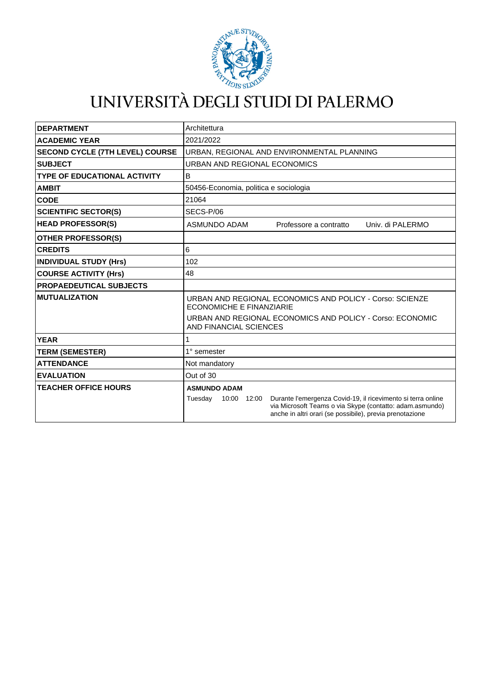

## UNIVERSITÀ DEGLI STUDI DI PALERMO

| <b>DEPARTMENT</b>                      | Architettura                                                                                                                                                                                                   |
|----------------------------------------|----------------------------------------------------------------------------------------------------------------------------------------------------------------------------------------------------------------|
| <b>ACADEMIC YEAR</b>                   | 2021/2022                                                                                                                                                                                                      |
| <b>SECOND CYCLE (7TH LEVEL) COURSE</b> | URBAN, REGIONAL AND ENVIRONMENTAL PLANNING                                                                                                                                                                     |
| <b>SUBJECT</b>                         | URBAN AND REGIONAL ECONOMICS                                                                                                                                                                                   |
| <b>TYPE OF EDUCATIONAL ACTIVITY</b>    | B                                                                                                                                                                                                              |
| <b>AMBIT</b>                           | 50456-Economia, politica e sociologia                                                                                                                                                                          |
| <b>CODE</b>                            | 21064                                                                                                                                                                                                          |
| <b>SCIENTIFIC SECTOR(S)</b>            | SECS-P/06                                                                                                                                                                                                      |
| <b>HEAD PROFESSOR(S)</b>               | ASMUNDO ADAM<br>Univ. di PALERMO<br>Professore a contratto                                                                                                                                                     |
| <b>OTHER PROFESSOR(S)</b>              |                                                                                                                                                                                                                |
| <b>CREDITS</b>                         | 6                                                                                                                                                                                                              |
| <b>INDIVIDUAL STUDY (Hrs)</b>          | 102                                                                                                                                                                                                            |
| <b>COURSE ACTIVITY (Hrs)</b>           | 48                                                                                                                                                                                                             |
| <b>PROPAEDEUTICAL SUBJECTS</b>         |                                                                                                                                                                                                                |
| <b>MUTUALIZATION</b>                   | URBAN AND REGIONAL ECONOMICS AND POLICY - Corso: SCIENZE<br><b>ECONOMICHE E FINANZIARIE</b>                                                                                                                    |
|                                        | URBAN AND REGIONAL ECONOMICS AND POLICY - Corso: ECONOMIC<br>AND FINANCIAL SCIENCES                                                                                                                            |
| <b>YEAR</b>                            |                                                                                                                                                                                                                |
| <b>TERM (SEMESTER)</b>                 | $1^\circ$ semester                                                                                                                                                                                             |
| <b>ATTENDANCE</b>                      | Not mandatory                                                                                                                                                                                                  |
| <b>EVALUATION</b>                      | Out of 30                                                                                                                                                                                                      |
| <b>TEACHER OFFICE HOURS</b>            | <b>ASMUNDO ADAM</b>                                                                                                                                                                                            |
|                                        | Durante l'emergenza Covid-19, il ricevimento si terra online<br>Tuesday<br>10:00 12:00<br>via Microsoft Teams o via Skype (contatto: adam.asmundo)<br>anche in altri orari (se possibile), previa prenotazione |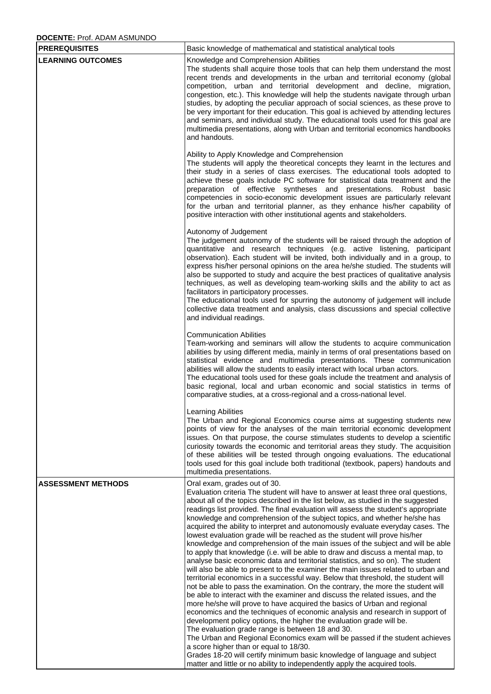## **DOCENTE:** Prof. ADAM ASMUNDO

| <b>PREREQUISITES</b>      | Basic knowledge of mathematical and statistical analytical tools                                                                                                                                                                                                                                                                                                                                                                                                                                                                                                                                                                                                                                                                                                                                                                                                                                                                                                                                                                                                                                                                                                                                                                                                                                                                                                                                                                                                                                                                                                                                                                               |
|---------------------------|------------------------------------------------------------------------------------------------------------------------------------------------------------------------------------------------------------------------------------------------------------------------------------------------------------------------------------------------------------------------------------------------------------------------------------------------------------------------------------------------------------------------------------------------------------------------------------------------------------------------------------------------------------------------------------------------------------------------------------------------------------------------------------------------------------------------------------------------------------------------------------------------------------------------------------------------------------------------------------------------------------------------------------------------------------------------------------------------------------------------------------------------------------------------------------------------------------------------------------------------------------------------------------------------------------------------------------------------------------------------------------------------------------------------------------------------------------------------------------------------------------------------------------------------------------------------------------------------------------------------------------------------|
| <b>LEARNING OUTCOMES</b>  | Knowledge and Comprehension Abilities<br>The students shall acquire those tools that can help them understand the most<br>recent trends and developments in the urban and territorial economy (global<br>competition, urban and territorial development and decline, migration,<br>congestion, etc.). This knowledge will help the students navigate through urban<br>studies, by adopting the peculiar approach of social sciences, as these prove to<br>be very important for their education. This goal is achieved by attending lectures<br>and seminars, and individual study. The educational tools used for this goal are<br>multimedia presentations, along with Urban and territorial economics handbooks<br>and handouts.                                                                                                                                                                                                                                                                                                                                                                                                                                                                                                                                                                                                                                                                                                                                                                                                                                                                                                            |
|                           | Ability to Apply Knowledge and Comprehension<br>The students will apply the theoretical concepts they learnt in the lectures and<br>their study in a series of class exercises. The educational tools adopted to<br>achieve these goals include PC software for statistical data treatment and the<br>preparation of effective syntheses and<br>presentations. Robust basic<br>competencies in socio-economic development issues are particularly relevant<br>for the urban and territorial planner, as they enhance his/her capability of<br>positive interaction with other institutional agents and stakeholders.                                                                                                                                                                                                                                                                                                                                                                                                                                                                                                                                                                                                                                                                                                                                                                                                                                                                                                                                                                                                                           |
|                           | Autonomy of Judgement<br>The judgement autonomy of the students will be raised through the adoption of<br>quantitative and research techniques (e.g. active listening, participant<br>observation). Each student will be invited, both individually and in a group, to<br>express his/her personal opinions on the area he/she studied. The students will<br>also be supported to study and acquire the best practices of qualitative analysis<br>techniques, as well as developing team-working skills and the ability to act as<br>facilitators in participatory processes.<br>The educational tools used for spurring the autonomy of judgement will include<br>collective data treatment and analysis, class discussions and special collective<br>and individual readings.                                                                                                                                                                                                                                                                                                                                                                                                                                                                                                                                                                                                                                                                                                                                                                                                                                                                |
|                           | <b>Communication Abilities</b><br>Team-working and seminars will allow the students to acquire communication<br>abilities by using different media, mainly in terms of oral presentations based on<br>statistical evidence and multimedia presentations. These communication<br>abilities will allow the students to easily interact with local urban actors.<br>The educational tools used for these goals include the treatment and analysis of<br>basic regional, local and urban economic and social statistics in terms of<br>comparative studies, at a cross-regional and a cross-national level.                                                                                                                                                                                                                                                                                                                                                                                                                                                                                                                                                                                                                                                                                                                                                                                                                                                                                                                                                                                                                                        |
|                           | Learning Abilities<br>The Urban and Regional Economics course aims at suggesting students new<br>points of view for the analyses of the main territorial economic development<br>issues. On that purpose, the course stimulates students to develop a scientific<br>curiosity towards the economic and territorial areas they study. The acquisition<br>of these abilities will be tested through ongoing evaluations. The educational<br>tools used for this goal include both traditional (textbook, papers) handouts and<br>multimedia presentations.                                                                                                                                                                                                                                                                                                                                                                                                                                                                                                                                                                                                                                                                                                                                                                                                                                                                                                                                                                                                                                                                                       |
| <b>ASSESSMENT METHODS</b> | Oral exam, grades out of 30.<br>Evaluation criteria The student will have to answer at least three oral questions,<br>about all of the topics described in the list below, as studied in the suggested<br>readings list provided. The final evaluation will assess the student's appropriate<br>knowledge and comprehension of the subject topics, and whether he/she has<br>acquired the ability to interpret and autonomously evaluate everyday cases. The<br>lowest evaluation grade will be reached as the student will prove his/her<br>knowledge and comprehension of the main issues of the subject and will be able<br>to apply that knowledge (i.e. will be able to draw and discuss a mental map, to<br>analyse basic economic data and territorial statistics, and so on). The student<br>will also be able to present to the examiner the main issues related to urban and<br>territorial economics in a successful way. Below that threshold, the student will<br>not be able to pass the examination. On the contrary, the more the student will<br>be able to interact with the examiner and discuss the related issues, and the<br>more he/she will prove to have acquired the basics of Urban and regional<br>economics and the techniques of economic analysis and research in support of<br>development policy options, the higher the evaluation grade will be.<br>The evaluation grade range is between 18 and 30.<br>The Urban and Regional Economics exam will be passed if the student achieves<br>a score higher than or equal to 18/30.<br>Grades 18-20 will certify minimum basic knowledge of language and subject |